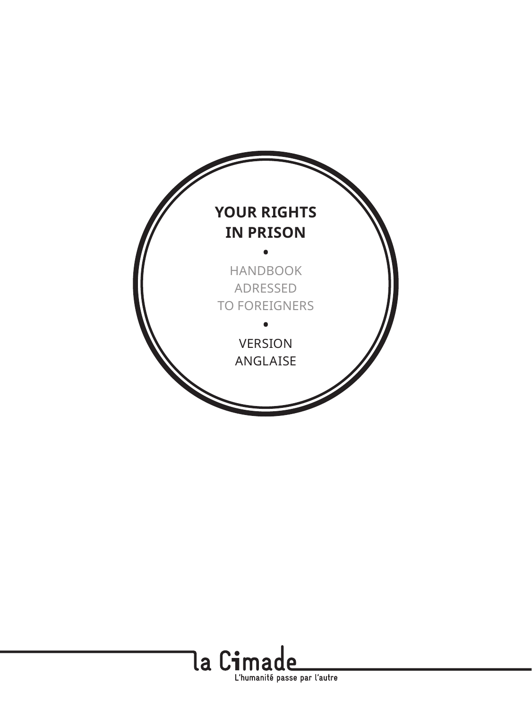

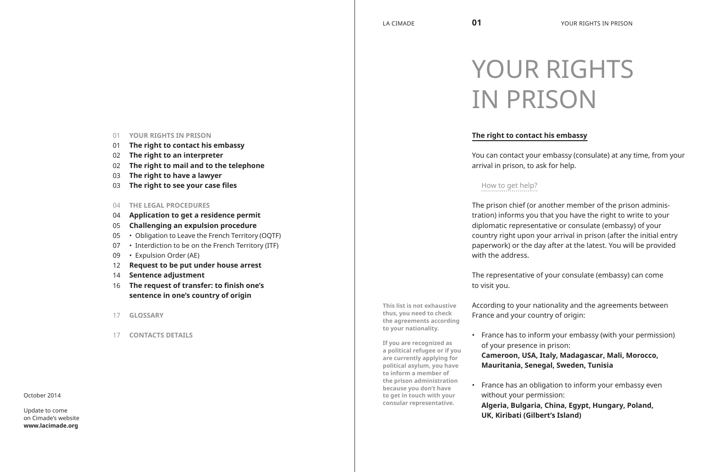# 01 **YOUR RIGHTS IN PRISON**

- 01 **The right to contact his embassy**
- 02 **The right to an interpreter**
- 02 **The right to mail and to the telephone**
- 03 **The right to have a lawyer**
- 03 **The right to see your case files**
- 04 **THE LEGAL PROCEDURES**
- 04 **Application to get a residence permit**
- 05 **Challenging an expulsion procedure**
- 05 Obligation to Leave the French Territory (OQTF)
- 07 Interdiction to be on the French Territory (ITF)
- 09 Expulsion Order (AE)
- 12 **Request to be put under house arrest**
- 14 **Sentence adjustment**
- 16 **The request of transfer: to finish one's sentence in one's country of origin**
- 17 **GLOSSARY**
- 17 **CONTACTS DETAILS**

#### October 2014

Update to come on Cimade's website **www.lacimade.org**

# YOUR RIGHTS IN PRISON

# **The right to contact his embassy**

You can contact your embassy (consulate) at any time, from your arrival in prison, to ask for help.

# How to get help?

The prison chief (or another member of the prison administration) informs you that you have the right to write to your diplomatic representative or consulate (embassy) of your country right upon your arrival in prison (after the initial entry paperwork) or the day after at the latest. You will be provided with the address.

The representative of your consulate (embassy) can come to visit you.

**This list is not exhaustive thus, you need to check the agreements according to your nationality.**

**If you are recognized as a political refugee or if you are currently applying for political asylum, you have to inform a member of the prison administration because you don't have to get in touch with your consular representative.**

According to your nationality and the agreements between France and your country of origin:

• France has to inform your embassy (with your permission) of your presence in prison:

**Cameroon, USA, Italy, Madagascar, Mali, Morocco, Mauritania, Senegal, Sweden, Tunisia**

France has an obligation to inform your embassy even without your permission:

**Algeria, Bulgaria, China, Egypt, Hungary, Poland, UK, Kiribati (Gilbert's Island)**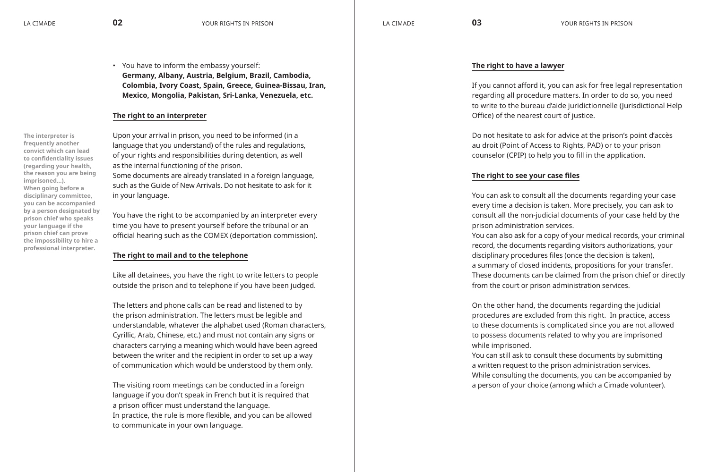• You have to inform the embassy yourself: **Germany, Albany, Austria, Belgium, Brazil, Cambodia, Colombia, Ivory Coast, Spain, Greece, Guinea-Bissau, Iran, Mexico, Mongolia, Pakistan, Sri-Lanka, Venezuela, etc.**

# **The right to an interpreter**

**The interpreter is frequently another convict which can lead to confidentiality issues (regarding your health, the reason you are being imprisoned…). When going before a disciplinary committee, you can be accompanied by a person designated by prison chief who speaks your language if the prison chief can prove the impossibility to hire a professional interpreter.**

Upon your arrival in prison, you need to be informed (in a language that you understand) of the rules and regulations, of your rights and responsibilities during detention, as well as the internal functioning of the prison. Some documents are already translated in a foreign language, such as the Guide of New Arrivals. Do not hesitate to ask for it in your language.

You have the right to be accompanied by an interpreter every time you have to present yourself before the tribunal or an official hearing such as the COMEX (deportation commission).

# **The right to mail and to the telephone**

Like all detainees, you have the right to write letters to people outside the prison and to telephone if you have been judged.

The letters and phone calls can be read and listened to by the prison administration. The letters must be legible and understandable, whatever the alphabet used (Roman characters, Cyrillic, Arab, Chinese, etc.) and must not contain any signs or characters carrying a meaning which would have been agreed between the writer and the recipient in order to set up a way of communication which would be understood by them only.

The visiting room meetings can be conducted in a foreign language if you don't speak in French but it is required that a prison officer must understand the language. In practice, the rule is more flexible, and you can be allowed to communicate in your own language.

# **The right to have a lawyer**

If you cannot afford it, you can ask for free legal representation regarding all procedure matters. In order to do so, you need to write to the bureau d'aide juridictionnelle (Jurisdictional Help Office) of the nearest court of justice.

Do not hesitate to ask for advice at the prison's point d'accès au droit (Point of Access to Rights, PAD) or to your prison counselor (CPIP) to help you to fill in the application.

# **The right to see your case files**

You can ask to consult all the documents regarding your case every time a decision is taken. More precisely, you can ask to consult all the non-judicial documents of your case held by the prison administration services.

You can also ask for a copy of your medical records, your criminal record, the documents regarding visitors authorizations, your disciplinary procedures files (once the decision is taken), a summary of closed incidents, propositions for your transfer. These documents can be claimed from the prison chief or directly from the court or prison administration services.

On the other hand, the documents regarding the judicial procedures are excluded from this right. In practice, access to these documents is complicated since you are not allowed to possess documents related to why you are imprisoned while imprisoned.

You can still ask to consult these documents by submitting a written request to the prison administration services. While consulting the documents, you can be accompanied by a person of your choice (among which a Cimade volunteer).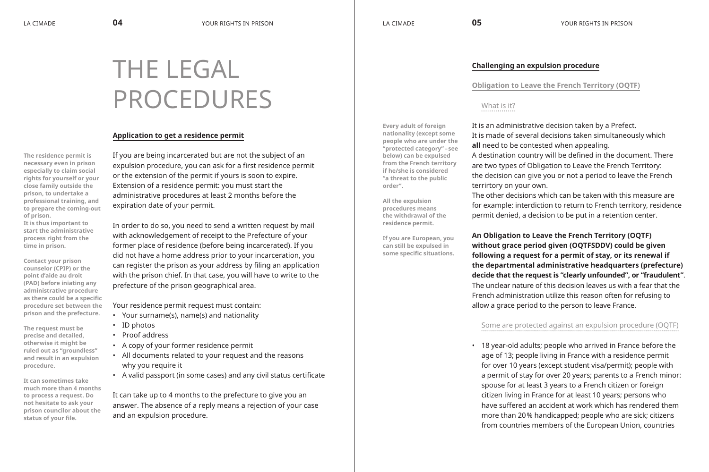**Every adult of foreign nationality (except some people who are under the "protected category" – see below) can be expulsed from the French territory if he/she is considered "a threat to the public** 

**order".**

**All the expulsion procedures means the withdrawal of the residence permit.**

**If you are European, you can still be expulsed in some specific situations.**

# **Challenging an expulsion procedure**

**Obligation to Leave the French Territory (OQTF)**

# What is it?

It is an administrative decision taken by a Prefect. It is made of several decisions taken simultaneously which **all** need to be contested when appealing. A destination country will be defined in the document. There are two types of Obligation to Leave the French Territory: the decision can give you or not a period to leave the French terrirtory on your own.

The other decisions which can be taken with this measure are for example: interdiction to return to French territory, residence permit denied, a decision to be put in a retention center.

**An Obligation to Leave the French Territory (OQTF) without grace period given (OQTFSDDV) could be given following a request for a permit of stay, or its renewal if the departmental administrative headquarters (prefecture) decide that the request is "clearly unfounded", or "fraudulent"**. The unclear nature of this decision leaves us with a fear that the French administration utilize this reason often for refusing to allow a grace period to the person to leave France.

# Some are protected against an expulsion procedure (OQTF)

• 18 year-old adults; people who arrived in France before the age of 13; people living in France with a residence permit for over 10 years (except student visa/permit); people with a permit of stay for over 20 years; parents to a French minor: spouse for at least 3 years to a French citizen or foreign citizen living in France for at least 10 years; persons who have suffered an accident at work which has rendered them more than 20% handicapped; people who are sick; citizens from countries members of the European Union, countries

# THE LEGAL PROCEDURES

# **Application to get a residence permit**

**The residence permit is necessary even in prison especially to claim social rights for yourself or your close family outside the prison, to undertake a professional training, and to prepare the coming-out of prison.**

**It is thus important to start the administrative process right from the time in prison.**

**Contact your prison counselor (CPIP) or the point d'aide au droit (PAD) before iniating any administrative procedure as there could be a specific procedure set between the prison and the prefecture.**

**The request must be precise and detailed, otherwise it might be ruled out as "groundless" and result in an expulsion procedure.**

**It can sometimes take much more than 4 months to process a request. Do not hesitate to ask your prison councilor about the status of your file.**

If you are being incarcerated but are not the subject of an expulsion procedure, you can ask for a first residence permit or the extension of the permit if yours is soon to expire. Extension of a residence permit: you must start the administrative procedures at least 2 months before the expiration date of your permit.

In order to do so, you need to send a written request by mail with acknowledgement of receipt to the Prefecture of your former place of residence (before being incarcerated). If you did not have a home address prior to your incarceration, you can register the prison as your address by filing an application with the prison chief. In that case, you will have to write to the prefecture of the prison geographical area.

Your residence permit request must contain:

- • Your surname(s), name(s) and nationality
- ID photos
- • Proof address
- • A copy of your former residence permit
- • All documents related to your request and the reasons why you require it
- • A valid passport (in some cases) and any civil status certificate

It can take up to 4 months to the prefecture to give you an answer. The absence of a reply means a rejection of your case and an expulsion procedure.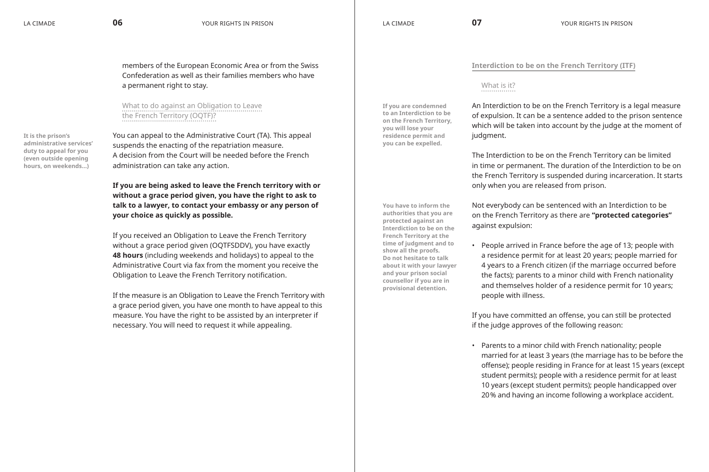members of the European Economic Area or from the Swiss Confederation as well as their families members who have a permanent right to stay.

What to do against an Obligation to Leave the French Territory (OQTF)?

**It is the prison's administrative services' duty to appeal for you (even outside opening hours, on weekends…)**

You can appeal to the Administrative Court (TA). This appeal suspends the enacting of the repatriation measure. A decision from the Court will be needed before the French administration can take any action.

**If you are being asked to leave the French territory with or without a grace period given, you have the right to ask to talk to a lawyer, to contact your embassy or any person of your choice as quickly as possible.**

If you received an Obligation to Leave the French Territory without a grace period given (OQTFSDDV), you have exactly **48 hours** (including weekends and holidays) to appeal to the Administrative Court via fax from the moment you receive the Obligation to Leave the French Territory notification.

If the measure is an Obligation to Leave the French Territory with a grace period given, you have one month to have appeal to this measure. You have the right to be assisted by an interpreter if necessary. You will need to request it while appealing.

**Interdiction to be on the French Territory (ITF)**

# What is it?

**If you are condemned to an Interdiction to be on the French Territory, you will lose your residence permit and you can be expelled.**

**counsellor if you are in provisional detention.**

An Interdiction to be on the French Territory is a legal measure of expulsion. It can be a sentence added to the prison sentence which will be taken into account by the judge at the moment of judgment.

The Interdiction to be on the French Territory can be limited in time or permanent. The duration of the Interdiction to be on the French Territory is suspended during incarceration. It starts only when you are released from prison.

**You have to inform the authorities that you are protected against an Interdiction to be on the French Territory at the time of judgment and to show all the proofs. Do not hesitate to talk about it with your lawyer and your prison social** 

Not everybody can be sentenced with an Interdiction to be on the French Territory as there are **"protected categories"** against expulsion:

• People arrived in France before the age of 13; people with a residence permit for at least 20 years; people married for 4 years to a French citizen (if the marriage occurred before the facts); parents to a minor child with French nationality and themselves holder of a residence permit for 10 years; people with illness.

If you have committed an offense, you can still be protected if the judge approves of the following reason:

• Parents to a minor child with French nationality; people married for at least 3 years (the marriage has to be before the offense); people residing in France for at least 15 years (except student permits); people with a residence permit for at least 10 years (except student permits); people handicapped over 20% and having an income following a workplace accident.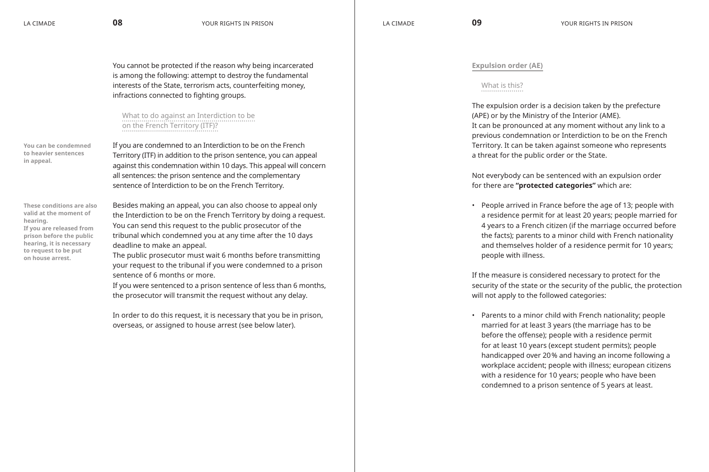You cannot be protected if the reason why being incarcerated is among the following: attempt to destroy the fundamental interests of the State, terrorism acts, counterfeiting money, infractions connected to fighting groups.

# What to do against an Interdiction to be on the French Territory (ITF)?

**You can be condemned to heavier sentences in appeal.**

If you are condemned to an Interdiction to be on the French Territory (ITF) in addition to the prison sentence, you can appeal against this condemnation within 10 days. This appeal will concern all sentences: the prison sentence and the complementary sentence of Interdiction to be on the French Territory.

**These conditions are also valid at the moment of hearing. If you are released from prison before the public hearing, it is necessary to request to be put on house arrest.**

Besides making an appeal, you can also choose to appeal only the Interdiction to be on the French Territory by doing a request. You can send this request to the public prosecutor of the tribunal which condemned you at any time after the 10 days deadline to make an appeal.

The public prosecutor must wait 6 months before transmitting your request to the tribunal if you were condemned to a prison sentence of 6 months or more.

If you were sentenced to a prison sentence of less than 6 months, the prosecutor will transmit the request without any delay.

In order to do this request, it is necessary that you be in prison, overseas, or assigned to house arrest (see below later).

# **Expulsion order (AE)**

# What is this?

The expulsion order is a decision taken by the prefecture (APE) or by the Ministry of the Interior (AME). It can be pronounced at any moment without any link to a previous condemnation or Interdiction to be on the French Territory. It can be taken against someone who represents a threat for the public order or the State.

Not everybody can be sentenced with an expulsion order for there are **"protected categories"** which are:

• People arrived in France before the age of 13; people with a residence permit for at least 20 years; people married for 4 years to a French citizen (if the marriage occurred before the facts); parents to a minor child with French nationality and themselves holder of a residence permit for 10 years; people with illness.

If the measure is considered necessary to protect for the security of the state or the security of the public, the protection will not apply to the followed categories:

• Parents to a minor child with French nationality; people married for at least 3 years (the marriage has to be before the offense); people with a residence permit for at least 10 years (except student permits); people handicapped over 20% and having an income following a workplace accident; people with illness; european citizens with a residence for 10 years; people who have been condemned to a prison sentence of 5 years at least.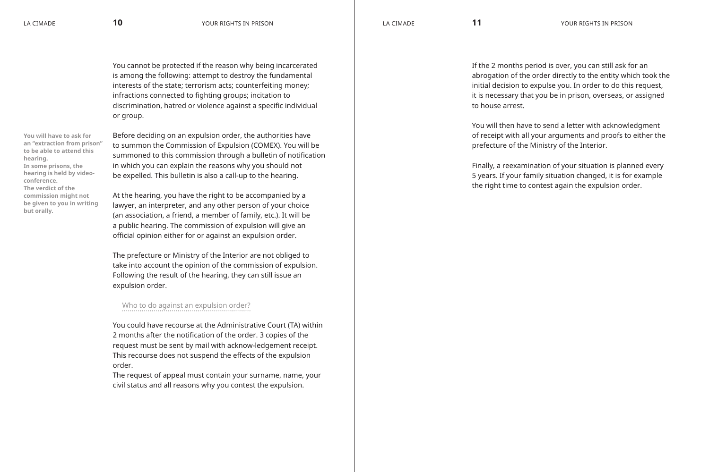You cannot be protected if the reason why being incarcerated is among the following: attempt to destroy the fundamental interests of the state; terrorism acts; counterfeiting money; infractions connected to fighting groups; incitation to discrimination, hatred or violence against a specific individual or group.

**You will have to ask for an "extraction from prison" to be able to attend this hearing. In some prisons, the hearing is held by videoconference. The verdict of the commission might not be given to you in writing but orally.**

Before deciding on an expulsion order, the authorities have to summon the Commission of Expulsion (COMEX). You will be summoned to this commission through a bulletin of notification in which you can explain the reasons why you should not be expelled. This bulletin is also a call-up to the hearing.

At the hearing, you have the right to be accompanied by a lawyer, an interpreter, and any other person of your choice (an association, a friend, a member of family, etc.). It will be a public hearing. The commission of expulsion will give an official opinion either for or against an expulsion order.

The prefecture or Ministry of the Interior are not obliged to take into account the opinion of the commission of expulsion. Following the result of the hearing, they can still issue an expulsion order.

# Who to do against an expulsion order?

You could have recourse at the Administrative Court (TA) within 2 months after the notification of the order. 3 copies of the request must be sent by mail with acknow-ledgement receipt. This recourse does not suspend the effects of the expulsion order.

The request of appeal must contain your surname, name, your civil status and all reasons why you contest the expulsion.

If the 2 months period is over, you can still ask for an abrogation of the order directly to the entity which took the initial decision to expulse you. In order to do this request, it is necessary that you be in prison, overseas, or assigned to house arrest.

You will then have to send a letter with acknowledgment of receipt with all your arguments and proofs to either the prefecture of the Ministry of the Interior.

Finally, a reexamination of your situation is planned every 5 years. If your family situation changed, it is for example the right time to contest again the expulsion order.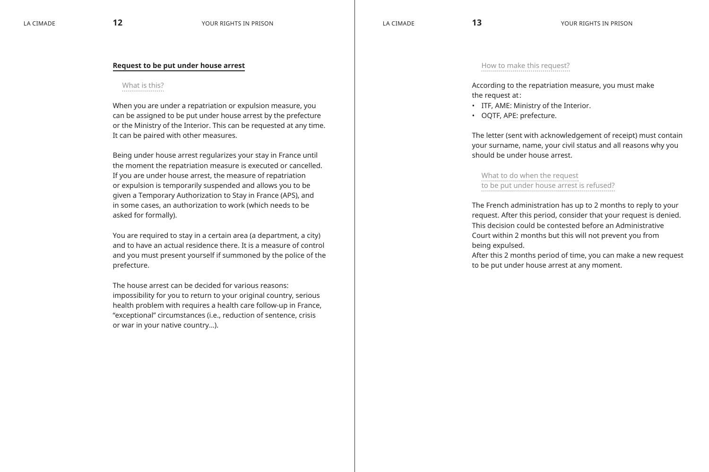#### **Request to be put under house arrest**

#### What is this?

When you are under a repatriation or expulsion measure, you can be assigned to be put under house arrest by the prefecture or the Ministry of the Interior. This can be requested at any time. It can be paired with other measures.

Being under house arrest regularizes your stay in France until the moment the repatriation measure is executed or cancelled. If you are under house arrest, the measure of repatriation or expulsion is temporarily suspended and allows you to be given a Temporary Authorization to Stay in France (APS), and in some cases, an authorization to work (which needs to be asked for formally).

You are required to stay in a certain area (a department, a city) and to have an actual residence there. It is a measure of control and you must present yourself if summoned by the police of the prefecture.

The house arrest can be decided for various reasons: impossibility for you to return to your original country, serious health problem with requires a health care follow-up in France, "exceptional" circumstances (i.e., reduction of sentence, crisis or war in your native country…).

#### How to make this request?

According to the repatriation measure, you must make the request at:

- • ITF, AME: Ministry of the Interior.
- • OQTF, APE: prefecture.

The letter (sent with acknowledgement of receipt) must contain your surname, name, your civil status and all reasons why you should be under house arrest.

What to do when the request to be put under house arrest is refused?

The French administration has up to 2 months to reply to your request. After this period, consider that your request is denied. This decision could be contested before an Administrative Court within 2 months but this will not prevent you from being expulsed.

After this 2 months period of time, you can make a new request to be put under house arrest at any moment.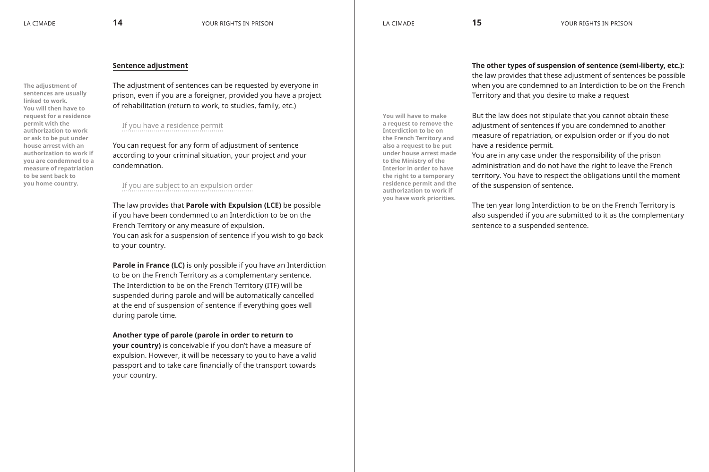**You will have to make a request to remove the Interdiction to be on the French Territory and also a request to be put under house arrest made to the Ministry of the Interior in order to have the right to a temporary residence permit and the authorization to work if you have work priorities.**

### **Sentence adjustment**

**The adjustment of sentences are usually linked to work. You will then have to request for a residence permit with the authorization to work or ask to be put under house arrest with an authorization to work if you are condemned to a measure of repatriation to be sent back to you home country.**

The adjustment of sentences can be requested by everyone in prison, even if you are a foreigner, provided you have a project of rehabilitation (return to work, to studies, family, etc.)

# If you have a residence permit

You can request for any form of adjustment of sentence according to your criminal situation, your project and your condemnation.

# If you are subject to an expulsion order

The law provides that **Parole with Expulsion (LCE)** be possible if you have been condemned to an Interdiction to be on the French Territory or any measure of expulsion. You can ask for a suspension of sentence if you wish to go back to your country.

**Parole in France (LC)** is only possible if you have an Interdiction to be on the French Territory as a complementary sentence. The Interdiction to be on the French Territory (ITF) will be suspended during parole and will be automatically cancelled at the end of suspension of sentence if everything goes well during parole time.

#### **Another type of parole (parole in order to return to**

**your country)** is conceivable if you don't have a measure of expulsion. However, it will be necessary to you to have a valid passport and to take care financially of the transport towards your country.

**The other types of suspension of sentence (semi-liberty, etc.):**  the law provides that these adjustment of sentences be possible when you are condemned to an Interdiction to be on the French Territory and that you desire to make a request

But the law does not stipulate that you cannot obtain these adjustment of sentences if you are condemned to another measure of repatriation, or expulsion order or if you do not have a residence permit.

You are in any case under the responsibility of the prison administration and do not have the right to leave the French territory. You have to respect the obligations until the moment of the suspension of sentence.

The ten year long Interdiction to be on the French Territory is also suspended if you are submitted to it as the complementary sentence to a suspended sentence.